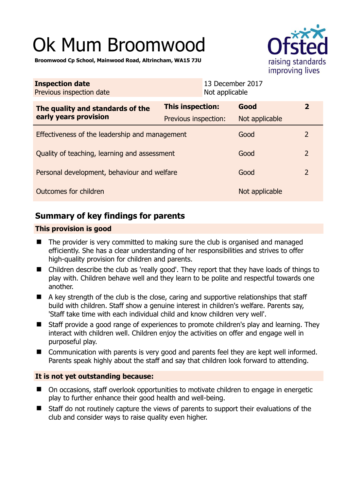# Ok Mum Broomwood



**Broomwood Cp School, Mainwood Road, Altrincham, WA15 7JU** 

| <b>Inspection date</b><br>Previous inspection date        |                         | 13 December 2017<br>Not applicable |                |                |
|-----------------------------------------------------------|-------------------------|------------------------------------|----------------|----------------|
| The quality and standards of the<br>early years provision | <b>This inspection:</b> |                                    | Good           | $\overline{2}$ |
|                                                           | Previous inspection:    |                                    | Not applicable |                |
| Effectiveness of the leadership and management            |                         |                                    | Good           | 2              |
| Quality of teaching, learning and assessment              |                         |                                    | Good           | $\overline{2}$ |
| Personal development, behaviour and welfare               |                         |                                    | Good           | $\overline{2}$ |
| Outcomes for children                                     |                         |                                    | Not applicable |                |

# **Summary of key findings for parents**

## **This provision is good**

- $\blacksquare$  The provider is very committed to making sure the club is organised and managed efficiently. She has a clear understanding of her responsibilities and strives to offer high-quality provision for children and parents.
- Children describe the club as 'really good'. They report that they have loads of things to play with. Children behave well and they learn to be polite and respectful towards one another.
- $\blacksquare$  A key strength of the club is the close, caring and supportive relationships that staff build with children. Staff show a genuine interest in children's welfare. Parents say, 'Staff take time with each individual child and know children very well'.
- Staff provide a good range of experiences to promote children's play and learning. They interact with children well. Children enjoy the activities on offer and engage well in purposeful play.
- Communication with parents is very good and parents feel they are kept well informed. Parents speak highly about the staff and say that children look forward to attending.

## **It is not yet outstanding because:**

- On occasions, staff overlook opportunities to motivate children to engage in energetic play to further enhance their good health and well-being.
- Staff do not routinely capture the views of parents to support their evaluations of the club and consider ways to raise quality even higher.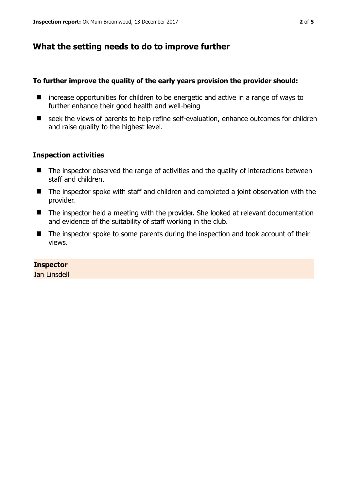# **What the setting needs to do to improve further**

### **To further improve the quality of the early years provision the provider should:**

- $\blacksquare$  increase opportunities for children to be energetic and active in a range of ways to further enhance their good health and well-being
- seek the views of parents to help refine self-evaluation, enhance outcomes for children and raise quality to the highest level.

### **Inspection activities**

- The inspector observed the range of activities and the quality of interactions between staff and children.
- The inspector spoke with staff and children and completed a joint observation with the provider.
- The inspector held a meeting with the provider. She looked at relevant documentation and evidence of the suitability of staff working in the club.
- The inspector spoke to some parents during the inspection and took account of their views.

### **Inspector**

Jan Linsdell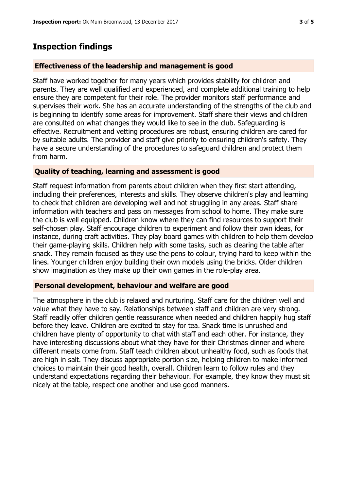## **Inspection findings**

#### **Effectiveness of the leadership and management is good**

Staff have worked together for many years which provides stability for children and parents. They are well qualified and experienced, and complete additional training to help ensure they are competent for their role. The provider monitors staff performance and supervises their work. She has an accurate understanding of the strengths of the club and is beginning to identify some areas for improvement. Staff share their views and children are consulted on what changes they would like to see in the club. Safeguarding is effective. Recruitment and vetting procedures are robust, ensuring children are cared for by suitable adults. The provider and staff give priority to ensuring children's safety. They have a secure understanding of the procedures to safeguard children and protect them from harm.

#### **Quality of teaching, learning and assessment is good**

Staff request information from parents about children when they first start attending, including their preferences, interests and skills. They observe children's play and learning to check that children are developing well and not struggling in any areas. Staff share information with teachers and pass on messages from school to home. They make sure the club is well equipped. Children know where they can find resources to support their self-chosen play. Staff encourage children to experiment and follow their own ideas, for instance, during craft activities. They play board games with children to help them develop their game-playing skills. Children help with some tasks, such as clearing the table after snack. They remain focused as they use the pens to colour, trying hard to keep within the lines. Younger children enjoy building their own models using the bricks. Older children show imagination as they make up their own games in the role-play area.

#### **Personal development, behaviour and welfare are good**

The atmosphere in the club is relaxed and nurturing. Staff care for the children well and value what they have to say. Relationships between staff and children are very strong. Staff readily offer children gentle reassurance when needed and children happily hug staff before they leave. Children are excited to stay for tea. Snack time is unrushed and children have plenty of opportunity to chat with staff and each other. For instance, they have interesting discussions about what they have for their Christmas dinner and where different meats come from. Staff teach children about unhealthy food, such as foods that are high in salt. They discuss appropriate portion size, helping children to make informed choices to maintain their good health, overall. Children learn to follow rules and they understand expectations regarding their behaviour. For example, they know they must sit nicely at the table, respect one another and use good manners.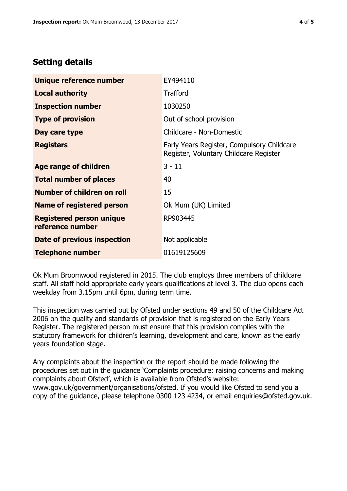# **Setting details**

| Unique reference number                             | EY494110                                                                             |  |
|-----------------------------------------------------|--------------------------------------------------------------------------------------|--|
| <b>Local authority</b>                              | <b>Trafford</b>                                                                      |  |
| <b>Inspection number</b>                            | 1030250                                                                              |  |
| <b>Type of provision</b>                            | Out of school provision                                                              |  |
| Day care type                                       | Childcare - Non-Domestic                                                             |  |
| <b>Registers</b>                                    | Early Years Register, Compulsory Childcare<br>Register, Voluntary Childcare Register |  |
| Age range of children                               | $3 - 11$                                                                             |  |
| <b>Total number of places</b>                       | 40                                                                                   |  |
| Number of children on roll                          | 15                                                                                   |  |
| <b>Name of registered person</b>                    | Ok Mum (UK) Limited                                                                  |  |
| <b>Registered person unique</b><br>reference number | RP903445                                                                             |  |
| Date of previous inspection                         | Not applicable                                                                       |  |
| <b>Telephone number</b>                             | 01619125609                                                                          |  |

Ok Mum Broomwood registered in 2015. The club employs three members of childcare staff. All staff hold appropriate early years qualifications at level 3. The club opens each weekday from 3.15pm until 6pm, during term time.

This inspection was carried out by Ofsted under sections 49 and 50 of the Childcare Act 2006 on the quality and standards of provision that is registered on the Early Years Register. The registered person must ensure that this provision complies with the statutory framework for children's learning, development and care, known as the early years foundation stage.

Any complaints about the inspection or the report should be made following the procedures set out in the guidance 'Complaints procedure: raising concerns and making complaints about Ofsted', which is available from Ofsted's website: www.gov.uk/government/organisations/ofsted. If you would like Ofsted to send you a copy of the guidance, please telephone 0300 123 4234, or email enquiries@ofsted.gov.uk.